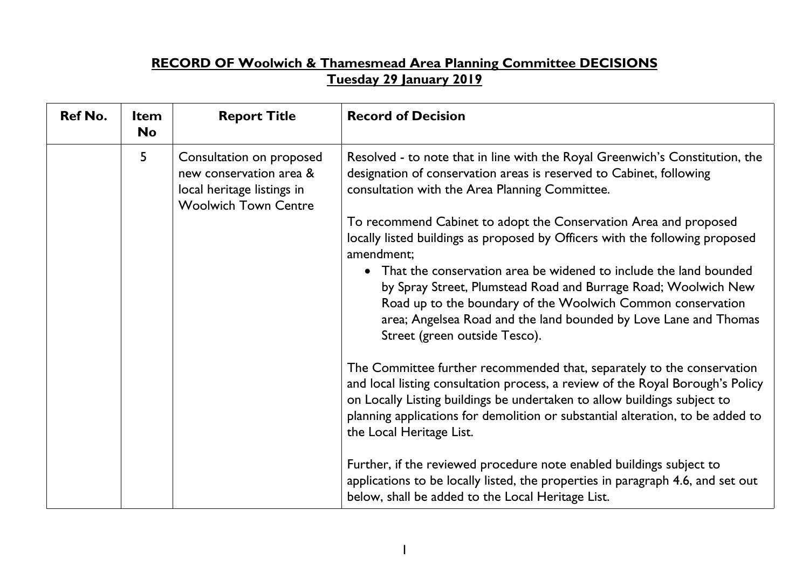## **RECORD OF Woolwich & Thamesmead Area Planning Committee DECISIONS Tuesday 29 January 2019**

| <b>Ref No.</b> | <b>Item</b><br><b>No</b> | <b>Report Title</b>                                                                                              | <b>Record of Decision</b>                                                                                                                                                                                                                                                                                                                          |  |
|----------------|--------------------------|------------------------------------------------------------------------------------------------------------------|----------------------------------------------------------------------------------------------------------------------------------------------------------------------------------------------------------------------------------------------------------------------------------------------------------------------------------------------------|--|
|                | 5                        | Consultation on proposed<br>new conservation area &<br>local heritage listings in<br><b>Woolwich Town Centre</b> | Resolved - to note that in line with the Royal Greenwich's Constitution, the<br>designation of conservation areas is reserved to Cabinet, following<br>consultation with the Area Planning Committee.                                                                                                                                              |  |
|                |                          |                                                                                                                  | To recommend Cabinet to adopt the Conservation Area and proposed<br>locally listed buildings as proposed by Officers with the following proposed<br>amendment;                                                                                                                                                                                     |  |
|                |                          |                                                                                                                  | • That the conservation area be widened to include the land bounded<br>by Spray Street, Plumstead Road and Burrage Road; Woolwich New<br>Road up to the boundary of the Woolwich Common conservation<br>area; Angelsea Road and the land bounded by Love Lane and Thomas<br>Street (green outside Tesco).                                          |  |
|                |                          |                                                                                                                  | The Committee further recommended that, separately to the conservation<br>and local listing consultation process, a review of the Royal Borough's Policy<br>on Locally Listing buildings be undertaken to allow buildings subject to<br>planning applications for demolition or substantial alteration, to be added to<br>the Local Heritage List. |  |
|                |                          |                                                                                                                  | Further, if the reviewed procedure note enabled buildings subject to<br>applications to be locally listed, the properties in paragraph 4.6, and set out<br>below, shall be added to the Local Heritage List.                                                                                                                                       |  |